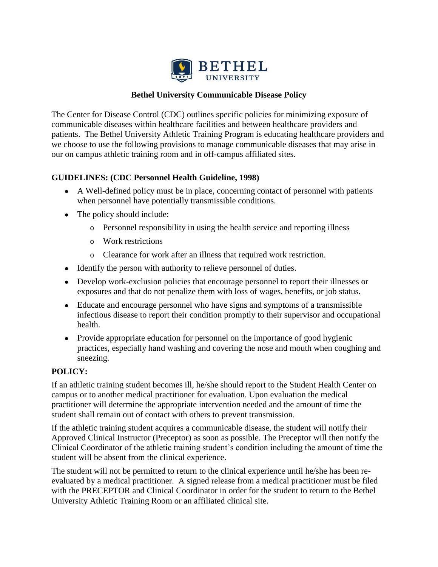

## **Bethel University Communicable Disease Policy**

The Center for Disease Control (CDC) outlines specific policies for minimizing exposure of communicable diseases within healthcare facilities and between healthcare providers and patients. The Bethel University Athletic Training Program is educating healthcare providers and we choose to use the following provisions to manage communicable diseases that may arise in our on campus athletic training room and in off-campus affiliated sites.

## **GUIDELINES: (CDC Personnel Health Guideline, 1998)**

- A Well-defined policy must be in place, concerning contact of personnel with patients when personnel have potentially transmissible conditions.
- The policy should include:
	- o Personnel responsibility in using the health service and reporting illness
	- o Work restrictions
	- o Clearance for work after an illness that required work restriction.
- Identify the person with authority to relieve personnel of duties.
- Develop work-exclusion policies that encourage personnel to report their illnesses or exposures and that do not penalize them with loss of wages, benefits, or job status.
- Educate and encourage personnel who have signs and symptoms of a transmissible infectious disease to report their condition promptly to their supervisor and occupational health.
- Provide appropriate education for personnel on the importance of good hygienic practices, especially hand washing and covering the nose and mouth when coughing and sneezing.

# **POLICY:**

If an athletic training student becomes ill, he/she should report to the Student Health Center on campus or to another medical practitioner for evaluation. Upon evaluation the medical practitioner will determine the appropriate intervention needed and the amount of time the student shall remain out of contact with others to prevent transmission.

If the athletic training student acquires a communicable disease, the student will notify their Approved Clinical Instructor (Preceptor) as soon as possible. The Preceptor will then notify the Clinical Coordinator of the athletic training student's condition including the amount of time the student will be absent from the clinical experience.

The student will not be permitted to return to the clinical experience until he/she has been reevaluated by a medical practitioner. A signed release from a medical practitioner must be filed with the PRECEPTOR and Clinical Coordinator in order for the student to return to the Bethel University Athletic Training Room or an affiliated clinical site.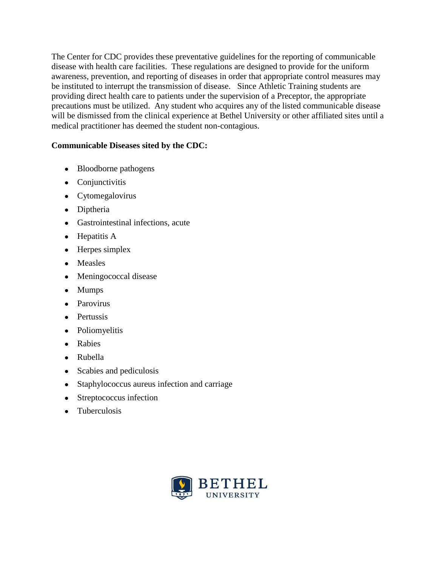The Center for CDC provides these preventative guidelines for the reporting of communicable disease with health care facilities. These regulations are designed to provide for the uniform awareness, prevention, and reporting of diseases in order that appropriate control measures may be instituted to interrupt the transmission of disease. Since Athletic Training students are providing direct health care to patients under the supervision of a Preceptor, the appropriate precautions must be utilized. Any student who acquires any of the listed communicable disease will be dismissed from the clinical experience at Bethel University or other affiliated sites until a medical practitioner has deemed the student non-contagious.

## **Communicable Diseases sited by the CDC:**

- Bloodborne pathogens
- Conjunctivitis
- Cytomegalovirus
- Diptheria
- Gastrointestinal infections, acute
- Hepatitis A
- Herpes simplex
- Measles
- Meningococcal disease
- Mumps
- Parovirus
- Pertussis
- Poliomyelitis
- Rabies
- Rubella
- Scabies and pediculosis
- Staphylococcus aureus infection and carriage
- Streptococcus infection
- Tuberculosis